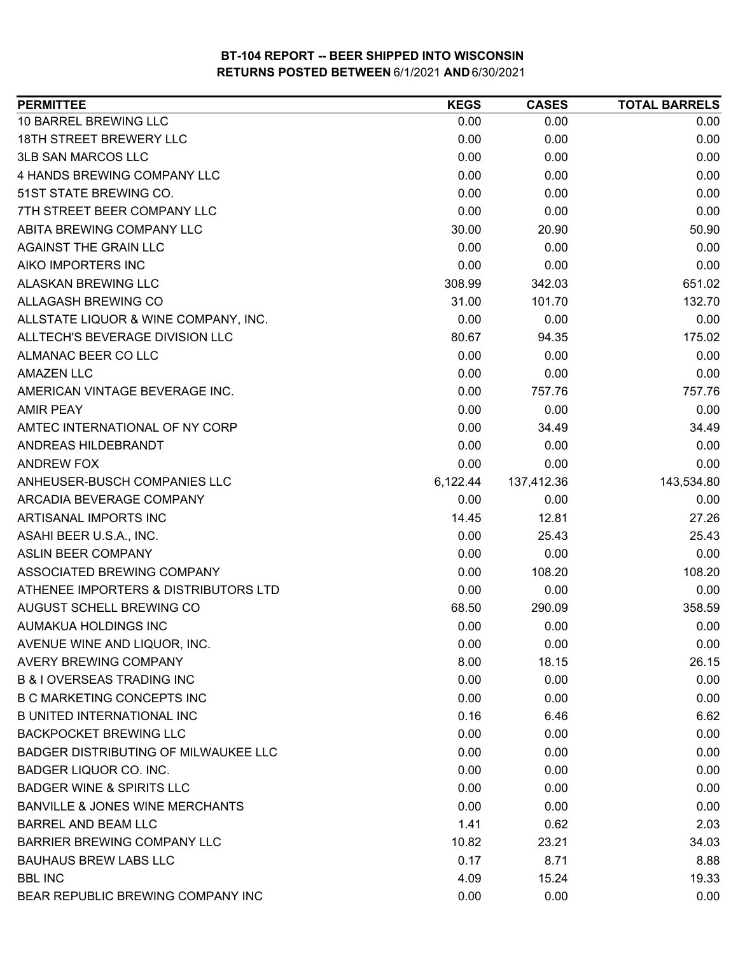| <b>PERMITTEE</b>                            | <b>KEGS</b> | <b>CASES</b> | <b>TOTAL BARRELS</b> |
|---------------------------------------------|-------------|--------------|----------------------|
| 10 BARREL BREWING LLC                       | 0.00        | 0.00         | 0.00                 |
| <b>18TH STREET BREWERY LLC</b>              | 0.00        | 0.00         | 0.00                 |
| <b>3LB SAN MARCOS LLC</b>                   | 0.00        | 0.00         | 0.00                 |
| 4 HANDS BREWING COMPANY LLC                 | 0.00        | 0.00         | 0.00                 |
| 51ST STATE BREWING CO.                      | 0.00        | 0.00         | 0.00                 |
| 7TH STREET BEER COMPANY LLC                 | 0.00        | 0.00         | 0.00                 |
| ABITA BREWING COMPANY LLC                   | 30.00       | 20.90        | 50.90                |
| <b>AGAINST THE GRAIN LLC</b>                | 0.00        | 0.00         | 0.00                 |
| AIKO IMPORTERS INC                          | 0.00        | 0.00         | 0.00                 |
| ALASKAN BREWING LLC                         | 308.99      | 342.03       | 651.02               |
| ALLAGASH BREWING CO                         | 31.00       | 101.70       | 132.70               |
| ALLSTATE LIQUOR & WINE COMPANY, INC.        | 0.00        | 0.00         | 0.00                 |
| ALLTECH'S BEVERAGE DIVISION LLC             | 80.67       | 94.35        | 175.02               |
| ALMANAC BEER CO LLC                         | 0.00        | 0.00         | 0.00                 |
| <b>AMAZEN LLC</b>                           | 0.00        | 0.00         | 0.00                 |
| AMERICAN VINTAGE BEVERAGE INC.              | 0.00        | 757.76       | 757.76               |
| <b>AMIR PEAY</b>                            | 0.00        | 0.00         | 0.00                 |
| AMTEC INTERNATIONAL OF NY CORP              | 0.00        | 34.49        | 34.49                |
| ANDREAS HILDEBRANDT                         | 0.00        | 0.00         | 0.00                 |
| ANDREW FOX                                  | 0.00        | 0.00         | 0.00                 |
| ANHEUSER-BUSCH COMPANIES LLC                | 6,122.44    | 137,412.36   | 143,534.80           |
| ARCADIA BEVERAGE COMPANY                    | 0.00        | 0.00         | 0.00                 |
| ARTISANAL IMPORTS INC                       | 14.45       | 12.81        | 27.26                |
| ASAHI BEER U.S.A., INC.                     | 0.00        | 25.43        | 25.43                |
| <b>ASLIN BEER COMPANY</b>                   | 0.00        | 0.00         | 0.00                 |
| ASSOCIATED BREWING COMPANY                  | 0.00        | 108.20       | 108.20               |
| ATHENEE IMPORTERS & DISTRIBUTORS LTD        | 0.00        | 0.00         | 0.00                 |
| AUGUST SCHELL BREWING CO                    | 68.50       | 290.09       | 358.59               |
| AUMAKUA HOLDINGS INC                        | 0.00        | 0.00         | 0.00                 |
| AVENUE WINE AND LIQUOR, INC.                | 0.00        | 0.00         | 0.00                 |
| <b>AVERY BREWING COMPANY</b>                | 8.00        | 18.15        | 26.15                |
| <b>B &amp; I OVERSEAS TRADING INC</b>       | 0.00        | 0.00         | 0.00                 |
| <b>B C MARKETING CONCEPTS INC</b>           | 0.00        | 0.00         | 0.00                 |
| <b>B UNITED INTERNATIONAL INC</b>           | 0.16        | 6.46         | 6.62                 |
| <b>BACKPOCKET BREWING LLC</b>               | 0.00        | 0.00         | 0.00                 |
| <b>BADGER DISTRIBUTING OF MILWAUKEE LLC</b> | 0.00        | 0.00         | 0.00                 |
| <b>BADGER LIQUOR CO. INC.</b>               | 0.00        | 0.00         | 0.00                 |
| <b>BADGER WINE &amp; SPIRITS LLC</b>        | 0.00        | 0.00         | 0.00                 |
| <b>BANVILLE &amp; JONES WINE MERCHANTS</b>  | 0.00        | 0.00         | 0.00                 |
| <b>BARREL AND BEAM LLC</b>                  | 1.41        | 0.62         | 2.03                 |
| <b>BARRIER BREWING COMPANY LLC</b>          | 10.82       | 23.21        | 34.03                |
| <b>BAUHAUS BREW LABS LLC</b>                | 0.17        | 8.71         | 8.88                 |
| <b>BBL INC</b>                              | 4.09        | 15.24        | 19.33                |
| BEAR REPUBLIC BREWING COMPANY INC           | 0.00        | 0.00         | 0.00                 |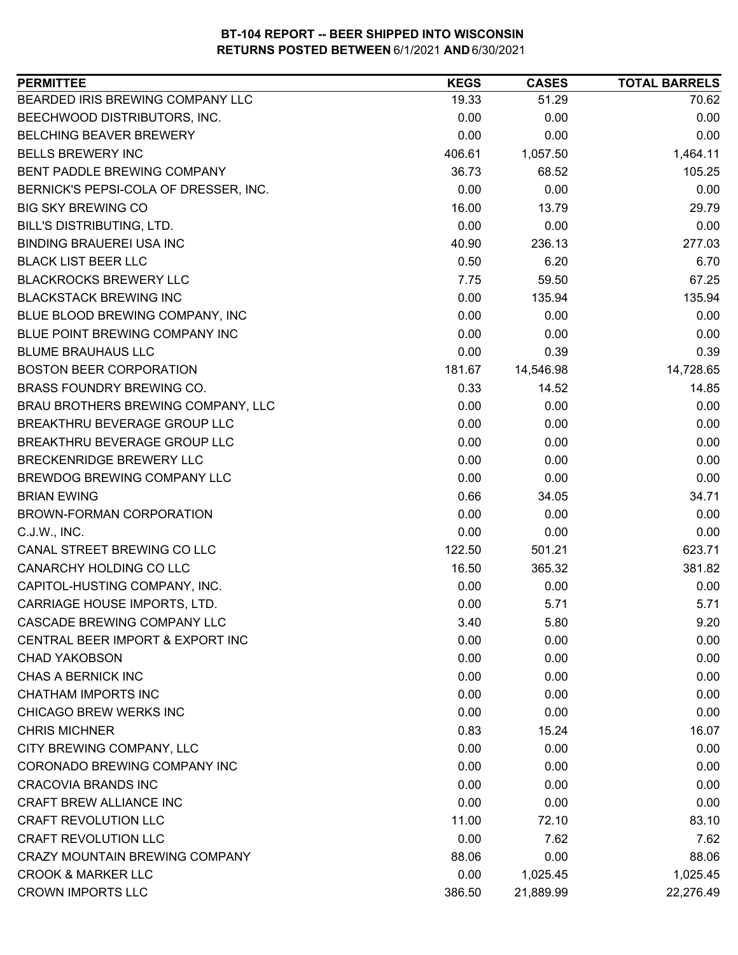| 19.33<br>51.29<br>70.62<br>BEECHWOOD DISTRIBUTORS, INC.<br>0.00<br>0.00<br>0.00<br>0.00<br>0.00<br>0.00<br>1,464.11<br>406.61<br>1,057.50<br>36.73<br>68.52<br>105.25<br>0.00<br>0.00<br>0.00<br>16.00<br>13.79<br>29.79<br>0.00<br>0.00<br>0.00<br>40.90<br>236.13<br>277.03<br>0.50<br>6.20<br>6.70<br>7.75<br>59.50<br>67.25<br>0.00<br>135.94<br>135.94<br>0.00<br>0.00<br>0.00<br>0.00<br>0.00<br>0.00<br>0.00<br>0.39<br>0.39<br>14,728.65<br>181.67<br>14,546.98<br>0.33<br>14.52<br>14.85<br>BRAU BROTHERS BREWING COMPANY, LLC<br>0.00<br>0.00<br>0.00<br>0.00<br>0.00<br>0.00<br>0.00<br>0.00<br>0.00<br>0.00<br>0.00<br>0.00<br>0.00<br>0.00<br>0.00<br>0.66<br>34.71<br>34.05<br>0.00<br>0.00<br>0.00<br>0.00<br>0.00<br>0.00<br>623.71<br>122.50<br>501.21<br>381.82<br>365.32<br>16.50<br>0.00<br>0.00<br>0.00<br>0.00<br>CARRIAGE HOUSE IMPORTS, LTD.<br>5.71<br>5.71<br>CASCADE BREWING COMPANY LLC<br>5.80<br>9.20<br>3.40<br>0.00<br>0.00<br>0.00<br>0.00<br>0.00<br>0.00<br>0.00<br>0.00<br>0.00<br>0.00<br>0.00<br>0.00<br>0.00<br>0.00<br>0.00<br>0.83<br>15.24<br>16.07<br>0.00<br>0.00<br>0.00<br>0.00<br>0.00<br>0.00<br>0.00<br>0.00<br>0.00<br>0.00<br>0.00<br>0.00<br>83.10<br>11.00<br>72.10<br>0.00<br>7.62<br>7.62<br>88.06<br>88.06<br>0.00<br>0.00<br>1,025.45<br>1,025.45 | <b>PERMITTEE</b>                      | <b>KEGS</b> | <b>CASES</b> | <b>TOTAL BARRELS</b> |
|------------------------------------------------------------------------------------------------------------------------------------------------------------------------------------------------------------------------------------------------------------------------------------------------------------------------------------------------------------------------------------------------------------------------------------------------------------------------------------------------------------------------------------------------------------------------------------------------------------------------------------------------------------------------------------------------------------------------------------------------------------------------------------------------------------------------------------------------------------------------------------------------------------------------------------------------------------------------------------------------------------------------------------------------------------------------------------------------------------------------------------------------------------------------------------------------------------------------------------------------------------------------------------------------------------|---------------------------------------|-------------|--------------|----------------------|
|                                                                                                                                                                                                                                                                                                                                                                                                                                                                                                                                                                                                                                                                                                                                                                                                                                                                                                                                                                                                                                                                                                                                                                                                                                                                                                            | BEARDED IRIS BREWING COMPANY LLC      |             |              |                      |
|                                                                                                                                                                                                                                                                                                                                                                                                                                                                                                                                                                                                                                                                                                                                                                                                                                                                                                                                                                                                                                                                                                                                                                                                                                                                                                            |                                       |             |              |                      |
|                                                                                                                                                                                                                                                                                                                                                                                                                                                                                                                                                                                                                                                                                                                                                                                                                                                                                                                                                                                                                                                                                                                                                                                                                                                                                                            | BELCHING BEAVER BREWERY               |             |              |                      |
|                                                                                                                                                                                                                                                                                                                                                                                                                                                                                                                                                                                                                                                                                                                                                                                                                                                                                                                                                                                                                                                                                                                                                                                                                                                                                                            | <b>BELLS BREWERY INC</b>              |             |              |                      |
|                                                                                                                                                                                                                                                                                                                                                                                                                                                                                                                                                                                                                                                                                                                                                                                                                                                                                                                                                                                                                                                                                                                                                                                                                                                                                                            | BENT PADDLE BREWING COMPANY           |             |              |                      |
|                                                                                                                                                                                                                                                                                                                                                                                                                                                                                                                                                                                                                                                                                                                                                                                                                                                                                                                                                                                                                                                                                                                                                                                                                                                                                                            | BERNICK'S PEPSI-COLA OF DRESSER, INC. |             |              |                      |
|                                                                                                                                                                                                                                                                                                                                                                                                                                                                                                                                                                                                                                                                                                                                                                                                                                                                                                                                                                                                                                                                                                                                                                                                                                                                                                            | <b>BIG SKY BREWING CO</b>             |             |              |                      |
|                                                                                                                                                                                                                                                                                                                                                                                                                                                                                                                                                                                                                                                                                                                                                                                                                                                                                                                                                                                                                                                                                                                                                                                                                                                                                                            | <b>BILL'S DISTRIBUTING, LTD.</b>      |             |              |                      |
|                                                                                                                                                                                                                                                                                                                                                                                                                                                                                                                                                                                                                                                                                                                                                                                                                                                                                                                                                                                                                                                                                                                                                                                                                                                                                                            | <b>BINDING BRAUEREI USA INC</b>       |             |              |                      |
|                                                                                                                                                                                                                                                                                                                                                                                                                                                                                                                                                                                                                                                                                                                                                                                                                                                                                                                                                                                                                                                                                                                                                                                                                                                                                                            | <b>BLACK LIST BEER LLC</b>            |             |              |                      |
|                                                                                                                                                                                                                                                                                                                                                                                                                                                                                                                                                                                                                                                                                                                                                                                                                                                                                                                                                                                                                                                                                                                                                                                                                                                                                                            | <b>BLACKROCKS BREWERY LLC</b>         |             |              |                      |
|                                                                                                                                                                                                                                                                                                                                                                                                                                                                                                                                                                                                                                                                                                                                                                                                                                                                                                                                                                                                                                                                                                                                                                                                                                                                                                            | <b>BLACKSTACK BREWING INC</b>         |             |              |                      |
|                                                                                                                                                                                                                                                                                                                                                                                                                                                                                                                                                                                                                                                                                                                                                                                                                                                                                                                                                                                                                                                                                                                                                                                                                                                                                                            | BLUE BLOOD BREWING COMPANY, INC       |             |              |                      |
|                                                                                                                                                                                                                                                                                                                                                                                                                                                                                                                                                                                                                                                                                                                                                                                                                                                                                                                                                                                                                                                                                                                                                                                                                                                                                                            | BLUE POINT BREWING COMPANY INC        |             |              |                      |
|                                                                                                                                                                                                                                                                                                                                                                                                                                                                                                                                                                                                                                                                                                                                                                                                                                                                                                                                                                                                                                                                                                                                                                                                                                                                                                            | <b>BLUME BRAUHAUS LLC</b>             |             |              |                      |
|                                                                                                                                                                                                                                                                                                                                                                                                                                                                                                                                                                                                                                                                                                                                                                                                                                                                                                                                                                                                                                                                                                                                                                                                                                                                                                            | <b>BOSTON BEER CORPORATION</b>        |             |              |                      |
|                                                                                                                                                                                                                                                                                                                                                                                                                                                                                                                                                                                                                                                                                                                                                                                                                                                                                                                                                                                                                                                                                                                                                                                                                                                                                                            | BRASS FOUNDRY BREWING CO.             |             |              |                      |
|                                                                                                                                                                                                                                                                                                                                                                                                                                                                                                                                                                                                                                                                                                                                                                                                                                                                                                                                                                                                                                                                                                                                                                                                                                                                                                            |                                       |             |              |                      |
|                                                                                                                                                                                                                                                                                                                                                                                                                                                                                                                                                                                                                                                                                                                                                                                                                                                                                                                                                                                                                                                                                                                                                                                                                                                                                                            | BREAKTHRU BEVERAGE GROUP LLC          |             |              |                      |
|                                                                                                                                                                                                                                                                                                                                                                                                                                                                                                                                                                                                                                                                                                                                                                                                                                                                                                                                                                                                                                                                                                                                                                                                                                                                                                            | BREAKTHRU BEVERAGE GROUP LLC          |             |              |                      |
|                                                                                                                                                                                                                                                                                                                                                                                                                                                                                                                                                                                                                                                                                                                                                                                                                                                                                                                                                                                                                                                                                                                                                                                                                                                                                                            | BRECKENRIDGE BREWERY LLC              |             |              |                      |
|                                                                                                                                                                                                                                                                                                                                                                                                                                                                                                                                                                                                                                                                                                                                                                                                                                                                                                                                                                                                                                                                                                                                                                                                                                                                                                            | BREWDOG BREWING COMPANY LLC           |             |              |                      |
|                                                                                                                                                                                                                                                                                                                                                                                                                                                                                                                                                                                                                                                                                                                                                                                                                                                                                                                                                                                                                                                                                                                                                                                                                                                                                                            | <b>BRIAN EWING</b>                    |             |              |                      |
|                                                                                                                                                                                                                                                                                                                                                                                                                                                                                                                                                                                                                                                                                                                                                                                                                                                                                                                                                                                                                                                                                                                                                                                                                                                                                                            | BROWN-FORMAN CORPORATION              |             |              |                      |
|                                                                                                                                                                                                                                                                                                                                                                                                                                                                                                                                                                                                                                                                                                                                                                                                                                                                                                                                                                                                                                                                                                                                                                                                                                                                                                            | C.J.W., INC.                          |             |              |                      |
|                                                                                                                                                                                                                                                                                                                                                                                                                                                                                                                                                                                                                                                                                                                                                                                                                                                                                                                                                                                                                                                                                                                                                                                                                                                                                                            | CANAL STREET BREWING CO LLC           |             |              |                      |
|                                                                                                                                                                                                                                                                                                                                                                                                                                                                                                                                                                                                                                                                                                                                                                                                                                                                                                                                                                                                                                                                                                                                                                                                                                                                                                            | CANARCHY HOLDING CO LLC               |             |              |                      |
|                                                                                                                                                                                                                                                                                                                                                                                                                                                                                                                                                                                                                                                                                                                                                                                                                                                                                                                                                                                                                                                                                                                                                                                                                                                                                                            | CAPITOL-HUSTING COMPANY, INC.         |             |              |                      |
|                                                                                                                                                                                                                                                                                                                                                                                                                                                                                                                                                                                                                                                                                                                                                                                                                                                                                                                                                                                                                                                                                                                                                                                                                                                                                                            |                                       |             |              |                      |
|                                                                                                                                                                                                                                                                                                                                                                                                                                                                                                                                                                                                                                                                                                                                                                                                                                                                                                                                                                                                                                                                                                                                                                                                                                                                                                            |                                       |             |              |                      |
|                                                                                                                                                                                                                                                                                                                                                                                                                                                                                                                                                                                                                                                                                                                                                                                                                                                                                                                                                                                                                                                                                                                                                                                                                                                                                                            | CENTRAL BEER IMPORT & EXPORT INC      |             |              |                      |
|                                                                                                                                                                                                                                                                                                                                                                                                                                                                                                                                                                                                                                                                                                                                                                                                                                                                                                                                                                                                                                                                                                                                                                                                                                                                                                            | <b>CHAD YAKOBSON</b>                  |             |              |                      |
|                                                                                                                                                                                                                                                                                                                                                                                                                                                                                                                                                                                                                                                                                                                                                                                                                                                                                                                                                                                                                                                                                                                                                                                                                                                                                                            | CHAS A BERNICK INC                    |             |              |                      |
|                                                                                                                                                                                                                                                                                                                                                                                                                                                                                                                                                                                                                                                                                                                                                                                                                                                                                                                                                                                                                                                                                                                                                                                                                                                                                                            | CHATHAM IMPORTS INC                   |             |              |                      |
|                                                                                                                                                                                                                                                                                                                                                                                                                                                                                                                                                                                                                                                                                                                                                                                                                                                                                                                                                                                                                                                                                                                                                                                                                                                                                                            | CHICAGO BREW WERKS INC                |             |              |                      |
|                                                                                                                                                                                                                                                                                                                                                                                                                                                                                                                                                                                                                                                                                                                                                                                                                                                                                                                                                                                                                                                                                                                                                                                                                                                                                                            | <b>CHRIS MICHNER</b>                  |             |              |                      |
|                                                                                                                                                                                                                                                                                                                                                                                                                                                                                                                                                                                                                                                                                                                                                                                                                                                                                                                                                                                                                                                                                                                                                                                                                                                                                                            | CITY BREWING COMPANY, LLC             |             |              |                      |
|                                                                                                                                                                                                                                                                                                                                                                                                                                                                                                                                                                                                                                                                                                                                                                                                                                                                                                                                                                                                                                                                                                                                                                                                                                                                                                            | CORONADO BREWING COMPANY INC          |             |              |                      |
|                                                                                                                                                                                                                                                                                                                                                                                                                                                                                                                                                                                                                                                                                                                                                                                                                                                                                                                                                                                                                                                                                                                                                                                                                                                                                                            | <b>CRACOVIA BRANDS INC</b>            |             |              |                      |
|                                                                                                                                                                                                                                                                                                                                                                                                                                                                                                                                                                                                                                                                                                                                                                                                                                                                                                                                                                                                                                                                                                                                                                                                                                                                                                            | CRAFT BREW ALLIANCE INC               |             |              |                      |
|                                                                                                                                                                                                                                                                                                                                                                                                                                                                                                                                                                                                                                                                                                                                                                                                                                                                                                                                                                                                                                                                                                                                                                                                                                                                                                            | <b>CRAFT REVOLUTION LLC</b>           |             |              |                      |
|                                                                                                                                                                                                                                                                                                                                                                                                                                                                                                                                                                                                                                                                                                                                                                                                                                                                                                                                                                                                                                                                                                                                                                                                                                                                                                            | <b>CRAFT REVOLUTION LLC</b>           |             |              |                      |
|                                                                                                                                                                                                                                                                                                                                                                                                                                                                                                                                                                                                                                                                                                                                                                                                                                                                                                                                                                                                                                                                                                                                                                                                                                                                                                            | <b>CRAZY MOUNTAIN BREWING COMPANY</b> |             |              |                      |
|                                                                                                                                                                                                                                                                                                                                                                                                                                                                                                                                                                                                                                                                                                                                                                                                                                                                                                                                                                                                                                                                                                                                                                                                                                                                                                            | <b>CROOK &amp; MARKER LLC</b>         |             |              |                      |
|                                                                                                                                                                                                                                                                                                                                                                                                                                                                                                                                                                                                                                                                                                                                                                                                                                                                                                                                                                                                                                                                                                                                                                                                                                                                                                            | <b>CROWN IMPORTS LLC</b>              | 386.50      | 21,889.99    | 22,276.49            |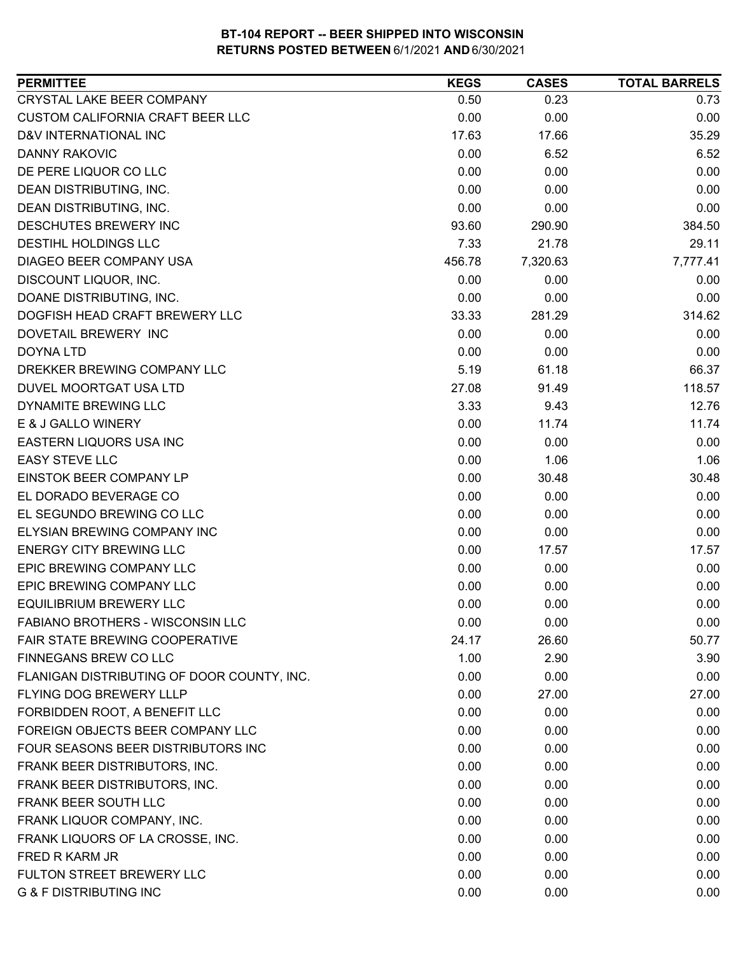| <b>PERMITTEE</b>                           | <b>KEGS</b> | <b>CASES</b> | <b>TOTAL BARRELS</b> |
|--------------------------------------------|-------------|--------------|----------------------|
| CRYSTAL LAKE BEER COMPANY                  | 0.50        | 0.23         | 0.73                 |
| <b>CUSTOM CALIFORNIA CRAFT BEER LLC</b>    | 0.00        | 0.00         | 0.00                 |
| D&V INTERNATIONAL INC                      | 17.63       | 17.66        | 35.29                |
| <b>DANNY RAKOVIC</b>                       | 0.00        | 6.52         | 6.52                 |
| DE PERE LIQUOR CO LLC                      | 0.00        | 0.00         | 0.00                 |
| DEAN DISTRIBUTING, INC.                    | 0.00        | 0.00         | 0.00                 |
| DEAN DISTRIBUTING, INC.                    | 0.00        | 0.00         | 0.00                 |
| DESCHUTES BREWERY INC                      | 93.60       | 290.90       | 384.50               |
| <b>DESTIHL HOLDINGS LLC</b>                | 7.33        | 21.78        | 29.11                |
| DIAGEO BEER COMPANY USA                    | 456.78      | 7,320.63     | 7,777.41             |
| DISCOUNT LIQUOR, INC.                      | 0.00        | 0.00         | 0.00                 |
| DOANE DISTRIBUTING, INC.                   | 0.00        | 0.00         | 0.00                 |
| DOGFISH HEAD CRAFT BREWERY LLC             | 33.33       | 281.29       | 314.62               |
| DOVETAIL BREWERY INC                       | 0.00        | 0.00         | 0.00                 |
| <b>DOYNA LTD</b>                           | 0.00        | 0.00         | 0.00                 |
| DREKKER BREWING COMPANY LLC                | 5.19        | 61.18        | 66.37                |
| <b>DUVEL MOORTGAT USA LTD</b>              | 27.08       | 91.49        | 118.57               |
| <b>DYNAMITE BREWING LLC</b>                | 3.33        | 9.43         | 12.76                |
| E & J GALLO WINERY                         | 0.00        | 11.74        | 11.74                |
| EASTERN LIQUORS USA INC                    | 0.00        | 0.00         | 0.00                 |
| <b>EASY STEVE LLC</b>                      | 0.00        | 1.06         | 1.06                 |
| EINSTOK BEER COMPANY LP                    | 0.00        | 30.48        | 30.48                |
| EL DORADO BEVERAGE CO                      | 0.00        | 0.00         | 0.00                 |
| EL SEGUNDO BREWING CO LLC                  | 0.00        | 0.00         | 0.00                 |
| ELYSIAN BREWING COMPANY INC                | 0.00        | 0.00         | 0.00                 |
| <b>ENERGY CITY BREWING LLC</b>             | 0.00        | 17.57        | 17.57                |
| EPIC BREWING COMPANY LLC                   | 0.00        | 0.00         | 0.00                 |
| EPIC BREWING COMPANY LLC                   | 0.00        | 0.00         | 0.00                 |
| <b>EQUILIBRIUM BREWERY LLC</b>             | 0.00        | 0.00         | 0.00                 |
| <b>FABIANO BROTHERS - WISCONSIN LLC</b>    | 0.00        | 0.00         | 0.00                 |
| FAIR STATE BREWING COOPERATIVE             | 24.17       | 26.60        | 50.77                |
| FINNEGANS BREW CO LLC                      | 1.00        | 2.90         | 3.90                 |
| FLANIGAN DISTRIBUTING OF DOOR COUNTY, INC. | 0.00        | 0.00         | 0.00                 |
| FLYING DOG BREWERY LLLP                    | 0.00        | 27.00        | 27.00                |
| FORBIDDEN ROOT, A BENEFIT LLC              | 0.00        | 0.00         | 0.00                 |
| FOREIGN OBJECTS BEER COMPANY LLC           | 0.00        | 0.00         | 0.00                 |
| FOUR SEASONS BEER DISTRIBUTORS INC         | 0.00        | 0.00         | 0.00                 |
| FRANK BEER DISTRIBUTORS, INC.              | 0.00        | 0.00         | 0.00                 |
| FRANK BEER DISTRIBUTORS, INC.              | 0.00        | 0.00         | 0.00                 |
| FRANK BEER SOUTH LLC                       | 0.00        | 0.00         | 0.00                 |
| FRANK LIQUOR COMPANY, INC.                 | 0.00        | 0.00         | 0.00                 |
| FRANK LIQUORS OF LA CROSSE, INC.           | 0.00        | 0.00         | 0.00                 |
| FRED R KARM JR                             | 0.00        | 0.00         | 0.00                 |
| FULTON STREET BREWERY LLC                  | 0.00        | 0.00         | 0.00                 |
| <b>G &amp; F DISTRIBUTING INC</b>          | 0.00        | 0.00         | 0.00                 |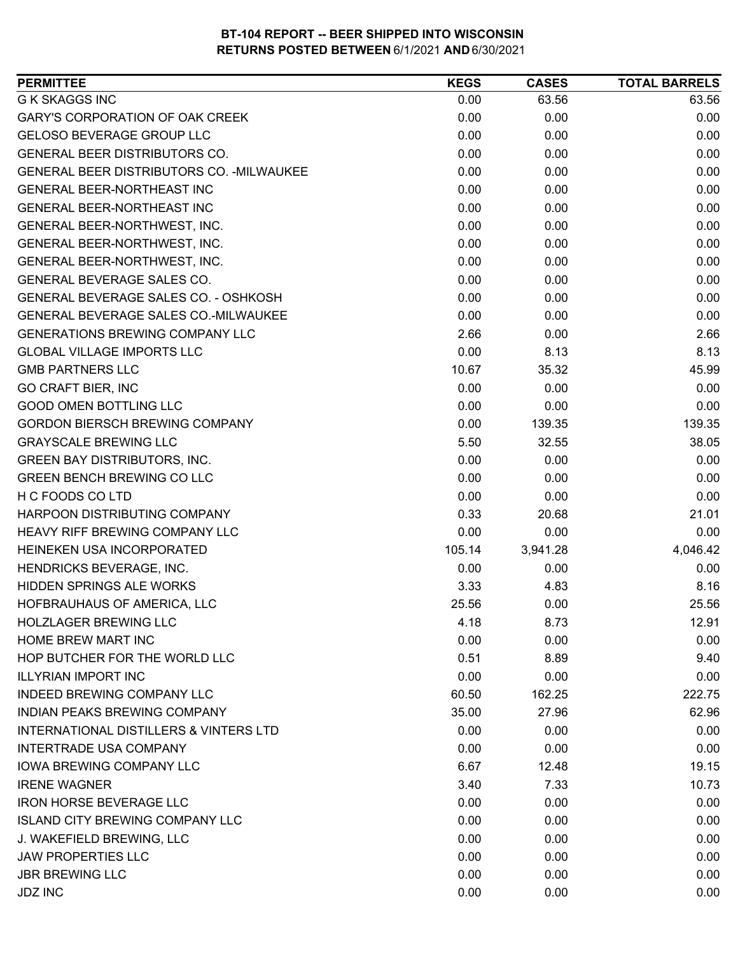| <b>PERMITTEE</b>                                  | <b>KEGS</b> | <b>CASES</b> | <b>TOTAL BARRELS</b> |
|---------------------------------------------------|-------------|--------------|----------------------|
| <b>G K SKAGGS INC</b>                             | 0.00        | 63.56        | 63.56                |
| GARY'S CORPORATION OF OAK CREEK                   | 0.00        | 0.00         | 0.00                 |
| <b>GELOSO BEVERAGE GROUP LLC</b>                  | 0.00        | 0.00         | 0.00                 |
| <b>GENERAL BEER DISTRIBUTORS CO.</b>              | 0.00        | 0.00         | 0.00                 |
| GENERAL BEER DISTRIBUTORS CO. - MILWAUKEE         | 0.00        | 0.00         | 0.00                 |
| <b>GENERAL BEER-NORTHEAST INC</b>                 | 0.00        | 0.00         | 0.00                 |
| GENERAL BEER-NORTHEAST INC                        | 0.00        | 0.00         | 0.00                 |
| GENERAL BEER-NORTHWEST, INC.                      | 0.00        | 0.00         | 0.00                 |
| GENERAL BEER-NORTHWEST, INC.                      | 0.00        | 0.00         | 0.00                 |
| GENERAL BEER-NORTHWEST, INC.                      | 0.00        | 0.00         | 0.00                 |
| GENERAL BEVERAGE SALES CO.                        | 0.00        | 0.00         | 0.00                 |
| GENERAL BEVERAGE SALES CO. - OSHKOSH              | 0.00        | 0.00         | 0.00                 |
| GENERAL BEVERAGE SALES CO.-MILWAUKEE              | 0.00        | 0.00         | 0.00                 |
| <b>GENERATIONS BREWING COMPANY LLC</b>            | 2.66        | 0.00         | 2.66                 |
| <b>GLOBAL VILLAGE IMPORTS LLC</b>                 | 0.00        | 8.13         | 8.13                 |
| <b>GMB PARTNERS LLC</b>                           | 10.67       | 35.32        | 45.99                |
| <b>GO CRAFT BIER, INC</b>                         | 0.00        | 0.00         | 0.00                 |
| <b>GOOD OMEN BOTTLING LLC</b>                     | 0.00        | 0.00         | 0.00                 |
| <b>GORDON BIERSCH BREWING COMPANY</b>             | 0.00        | 139.35       | 139.35               |
| <b>GRAYSCALE BREWING LLC</b>                      | 5.50        | 32.55        | 38.05                |
| <b>GREEN BAY DISTRIBUTORS, INC.</b>               | 0.00        | 0.00         | 0.00                 |
| <b>GREEN BENCH BREWING CO LLC</b>                 | 0.00        | 0.00         | 0.00                 |
| H C FOODS CO LTD                                  | 0.00        | 0.00         | 0.00                 |
| HARPOON DISTRIBUTING COMPANY                      | 0.33        | 20.68        | 21.01                |
| HEAVY RIFF BREWING COMPANY LLC                    | 0.00        | 0.00         | 0.00                 |
| HEINEKEN USA INCORPORATED                         | 105.14      | 3,941.28     | 4,046.42             |
| HENDRICKS BEVERAGE, INC.                          | 0.00        | 0.00         | 0.00                 |
| <b>HIDDEN SPRINGS ALE WORKS</b>                   | 3.33        | 4.83         | 8.16                 |
| HOFBRAUHAUS OF AMERICA, LLC                       | 25.56       | 0.00         | 25.56                |
| <b>HOLZLAGER BREWING LLC</b>                      | 4.18        | 8.73         | 12.91                |
| HOME BREW MART INC                                | 0.00        | 0.00         | 0.00                 |
| HOP BUTCHER FOR THE WORLD LLC                     | 0.51        | 8.89         | 9.40                 |
| <b>ILLYRIAN IMPORT INC</b>                        | 0.00        | 0.00         | 0.00                 |
| INDEED BREWING COMPANY LLC                        | 60.50       | 162.25       | 222.75               |
| INDIAN PEAKS BREWING COMPANY                      | 35.00       | 27.96        | 62.96                |
| <b>INTERNATIONAL DISTILLERS &amp; VINTERS LTD</b> | 0.00        | 0.00         | 0.00                 |
| <b>INTERTRADE USA COMPANY</b>                     | 0.00        | 0.00         | 0.00                 |
| <b>IOWA BREWING COMPANY LLC</b>                   | 6.67        | 12.48        | 19.15                |
| <b>IRENE WAGNER</b>                               | 3.40        | 7.33         | 10.73                |
| <b>IRON HORSE BEVERAGE LLC</b>                    | 0.00        | 0.00         | 0.00                 |
| <b>ISLAND CITY BREWING COMPANY LLC</b>            | 0.00        | 0.00         | 0.00                 |
| J. WAKEFIELD BREWING, LLC                         | 0.00        | 0.00         | 0.00                 |
| <b>JAW PROPERTIES LLC</b>                         | 0.00        | 0.00         | 0.00                 |
| <b>JBR BREWING LLC</b>                            | 0.00        | 0.00         | 0.00                 |
| <b>JDZ INC</b>                                    | 0.00        | 0.00         | 0.00                 |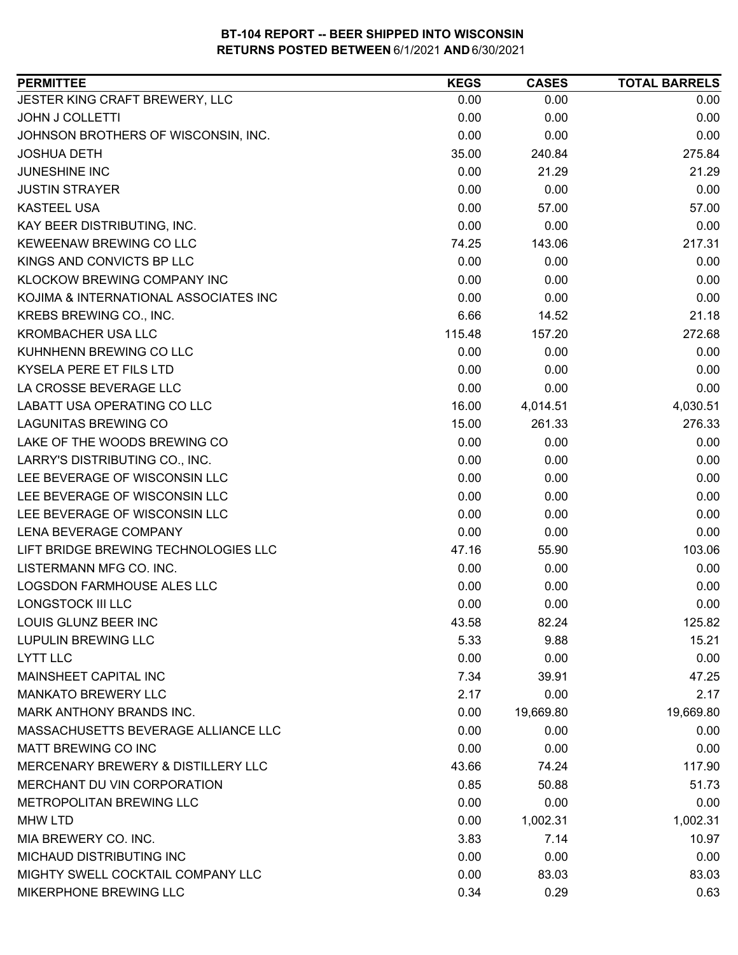| JESTER KING CRAFT BREWERY, LLC<br>0.00<br>0.00<br>0.00<br><b>JOHN J COLLETTI</b><br>0.00<br>0.00<br>0.00<br>0.00<br>0.00<br>JOHNSON BROTHERS OF WISCONSIN, INC.<br>0.00<br>35.00<br>240.84<br>275.84<br><b>JOSHUA DETH</b><br>21.29<br>JUNESHINE INC<br>0.00<br>21.29<br>0.00<br><b>JUSTIN STRAYER</b><br>0.00<br>0.00<br><b>KASTEEL USA</b><br>0.00<br>57.00<br>57.00<br>0.00<br>KAY BEER DISTRIBUTING, INC.<br>0.00<br>0.00<br>KEWEENAW BREWING CO LLC<br>74.25<br>143.06<br>217.31<br>0.00<br>KINGS AND CONVICTS BP LLC<br>0.00<br>0.00<br>KLOCKOW BREWING COMPANY INC<br>0.00<br>0.00<br>0.00<br>0.00<br>KOJIMA & INTERNATIONAL ASSOCIATES INC<br>0.00<br>0.00<br>KREBS BREWING CO., INC.<br>6.66<br>14.52<br>21.18<br>272.68<br><b>KROMBACHER USA LLC</b><br>115.48<br>157.20<br>KUHNHENN BREWING CO LLC<br>0.00<br>0.00<br>0.00<br>0.00<br><b>KYSELA PERE ET FILS LTD</b><br>0.00<br>0.00<br>0.00<br>LA CROSSE BEVERAGE LLC<br>0.00<br>0.00<br>LABATT USA OPERATING CO LLC<br>16.00<br>4,030.51<br>4,014.51<br><b>LAGUNITAS BREWING CO</b><br>15.00<br>261.33<br>276.33<br>0.00<br>LAKE OF THE WOODS BREWING CO<br>0.00<br>0.00<br>0.00<br>LARRY'S DISTRIBUTING CO., INC.<br>0.00<br>0.00<br>0.00<br>LEE BEVERAGE OF WISCONSIN LLC<br>0.00<br>0.00<br>0.00<br>LEE BEVERAGE OF WISCONSIN LLC<br>0.00<br>0.00<br>LEE BEVERAGE OF WISCONSIN LLC<br>0.00<br>0.00<br>0.00<br>0.00<br>0.00<br>0.00<br>LENA BEVERAGE COMPANY<br>LIFT BRIDGE BREWING TECHNOLOGIES LLC<br>47.16<br>103.06<br>55.90<br>LISTERMANN MFG CO. INC.<br>0.00<br>0.00<br>0.00<br>LOGSDON FARMHOUSE ALES LLC<br>0.00<br>0.00<br>0.00<br>0.00<br>0.00<br><b>LONGSTOCK III LLC</b><br>0.00<br>LOUIS GLUNZ BEER INC<br>82.24<br>125.82<br>43.58<br>15.21<br><b>LUPULIN BREWING LLC</b><br>5.33<br>9.88<br><b>LYTT LLC</b><br>0.00<br>0.00<br>0.00<br>MAINSHEET CAPITAL INC<br>47.25<br>7.34<br>39.91<br><b>MANKATO BREWERY LLC</b><br>2.17<br>2.17<br>0.00<br>19,669.80<br>MARK ANTHONY BRANDS INC.<br>0.00<br>19,669.80<br>MASSACHUSETTS BEVERAGE ALLIANCE LLC<br>0.00<br>0.00<br>0.00<br>MATT BREWING CO INC<br>0.00<br>0.00<br>0.00<br>MERCENARY BREWERY & DISTILLERY LLC<br>43.66<br>74.24<br>117.90<br>MERCHANT DU VIN CORPORATION<br>0.85<br>51.73<br>50.88<br>METROPOLITAN BREWING LLC<br>0.00<br>0.00<br>0.00<br>0.00<br>1,002.31<br>1,002.31<br><b>MHW LTD</b><br>MIA BREWERY CO. INC.<br>3.83<br>7.14<br>10.97<br>MICHAUD DISTRIBUTING INC<br>0.00<br>0.00<br>0.00<br>MIGHTY SWELL COCKTAIL COMPANY LLC<br>0.00<br>83.03<br>83.03 | <b>PERMITTEE</b>       | <b>KEGS</b> | <b>CASES</b> | <b>TOTAL BARRELS</b> |
|--------------------------------------------------------------------------------------------------------------------------------------------------------------------------------------------------------------------------------------------------------------------------------------------------------------------------------------------------------------------------------------------------------------------------------------------------------------------------------------------------------------------------------------------------------------------------------------------------------------------------------------------------------------------------------------------------------------------------------------------------------------------------------------------------------------------------------------------------------------------------------------------------------------------------------------------------------------------------------------------------------------------------------------------------------------------------------------------------------------------------------------------------------------------------------------------------------------------------------------------------------------------------------------------------------------------------------------------------------------------------------------------------------------------------------------------------------------------------------------------------------------------------------------------------------------------------------------------------------------------------------------------------------------------------------------------------------------------------------------------------------------------------------------------------------------------------------------------------------------------------------------------------------------------------------------------------------------------------------------------------------------------------------------------------------------------------------------------------------------------------------------------------------------------------------------------------------------------------------------------------------------------------------------------------------------------------------------------------------------------------------------------------------------------------------------------------------------------------------------------------------------|------------------------|-------------|--------------|----------------------|
|                                                                                                                                                                                                                                                                                                                                                                                                                                                                                                                                                                                                                                                                                                                                                                                                                                                                                                                                                                                                                                                                                                                                                                                                                                                                                                                                                                                                                                                                                                                                                                                                                                                                                                                                                                                                                                                                                                                                                                                                                                                                                                                                                                                                                                                                                                                                                                                                                                                                                                              |                        |             |              |                      |
|                                                                                                                                                                                                                                                                                                                                                                                                                                                                                                                                                                                                                                                                                                                                                                                                                                                                                                                                                                                                                                                                                                                                                                                                                                                                                                                                                                                                                                                                                                                                                                                                                                                                                                                                                                                                                                                                                                                                                                                                                                                                                                                                                                                                                                                                                                                                                                                                                                                                                                              |                        |             |              |                      |
|                                                                                                                                                                                                                                                                                                                                                                                                                                                                                                                                                                                                                                                                                                                                                                                                                                                                                                                                                                                                                                                                                                                                                                                                                                                                                                                                                                                                                                                                                                                                                                                                                                                                                                                                                                                                                                                                                                                                                                                                                                                                                                                                                                                                                                                                                                                                                                                                                                                                                                              |                        |             |              |                      |
|                                                                                                                                                                                                                                                                                                                                                                                                                                                                                                                                                                                                                                                                                                                                                                                                                                                                                                                                                                                                                                                                                                                                                                                                                                                                                                                                                                                                                                                                                                                                                                                                                                                                                                                                                                                                                                                                                                                                                                                                                                                                                                                                                                                                                                                                                                                                                                                                                                                                                                              |                        |             |              |                      |
|                                                                                                                                                                                                                                                                                                                                                                                                                                                                                                                                                                                                                                                                                                                                                                                                                                                                                                                                                                                                                                                                                                                                                                                                                                                                                                                                                                                                                                                                                                                                                                                                                                                                                                                                                                                                                                                                                                                                                                                                                                                                                                                                                                                                                                                                                                                                                                                                                                                                                                              |                        |             |              |                      |
|                                                                                                                                                                                                                                                                                                                                                                                                                                                                                                                                                                                                                                                                                                                                                                                                                                                                                                                                                                                                                                                                                                                                                                                                                                                                                                                                                                                                                                                                                                                                                                                                                                                                                                                                                                                                                                                                                                                                                                                                                                                                                                                                                                                                                                                                                                                                                                                                                                                                                                              |                        |             |              |                      |
|                                                                                                                                                                                                                                                                                                                                                                                                                                                                                                                                                                                                                                                                                                                                                                                                                                                                                                                                                                                                                                                                                                                                                                                                                                                                                                                                                                                                                                                                                                                                                                                                                                                                                                                                                                                                                                                                                                                                                                                                                                                                                                                                                                                                                                                                                                                                                                                                                                                                                                              |                        |             |              |                      |
|                                                                                                                                                                                                                                                                                                                                                                                                                                                                                                                                                                                                                                                                                                                                                                                                                                                                                                                                                                                                                                                                                                                                                                                                                                                                                                                                                                                                                                                                                                                                                                                                                                                                                                                                                                                                                                                                                                                                                                                                                                                                                                                                                                                                                                                                                                                                                                                                                                                                                                              |                        |             |              |                      |
|                                                                                                                                                                                                                                                                                                                                                                                                                                                                                                                                                                                                                                                                                                                                                                                                                                                                                                                                                                                                                                                                                                                                                                                                                                                                                                                                                                                                                                                                                                                                                                                                                                                                                                                                                                                                                                                                                                                                                                                                                                                                                                                                                                                                                                                                                                                                                                                                                                                                                                              |                        |             |              |                      |
|                                                                                                                                                                                                                                                                                                                                                                                                                                                                                                                                                                                                                                                                                                                                                                                                                                                                                                                                                                                                                                                                                                                                                                                                                                                                                                                                                                                                                                                                                                                                                                                                                                                                                                                                                                                                                                                                                                                                                                                                                                                                                                                                                                                                                                                                                                                                                                                                                                                                                                              |                        |             |              |                      |
|                                                                                                                                                                                                                                                                                                                                                                                                                                                                                                                                                                                                                                                                                                                                                                                                                                                                                                                                                                                                                                                                                                                                                                                                                                                                                                                                                                                                                                                                                                                                                                                                                                                                                                                                                                                                                                                                                                                                                                                                                                                                                                                                                                                                                                                                                                                                                                                                                                                                                                              |                        |             |              |                      |
|                                                                                                                                                                                                                                                                                                                                                                                                                                                                                                                                                                                                                                                                                                                                                                                                                                                                                                                                                                                                                                                                                                                                                                                                                                                                                                                                                                                                                                                                                                                                                                                                                                                                                                                                                                                                                                                                                                                                                                                                                                                                                                                                                                                                                                                                                                                                                                                                                                                                                                              |                        |             |              |                      |
|                                                                                                                                                                                                                                                                                                                                                                                                                                                                                                                                                                                                                                                                                                                                                                                                                                                                                                                                                                                                                                                                                                                                                                                                                                                                                                                                                                                                                                                                                                                                                                                                                                                                                                                                                                                                                                                                                                                                                                                                                                                                                                                                                                                                                                                                                                                                                                                                                                                                                                              |                        |             |              |                      |
|                                                                                                                                                                                                                                                                                                                                                                                                                                                                                                                                                                                                                                                                                                                                                                                                                                                                                                                                                                                                                                                                                                                                                                                                                                                                                                                                                                                                                                                                                                                                                                                                                                                                                                                                                                                                                                                                                                                                                                                                                                                                                                                                                                                                                                                                                                                                                                                                                                                                                                              |                        |             |              |                      |
|                                                                                                                                                                                                                                                                                                                                                                                                                                                                                                                                                                                                                                                                                                                                                                                                                                                                                                                                                                                                                                                                                                                                                                                                                                                                                                                                                                                                                                                                                                                                                                                                                                                                                                                                                                                                                                                                                                                                                                                                                                                                                                                                                                                                                                                                                                                                                                                                                                                                                                              |                        |             |              |                      |
|                                                                                                                                                                                                                                                                                                                                                                                                                                                                                                                                                                                                                                                                                                                                                                                                                                                                                                                                                                                                                                                                                                                                                                                                                                                                                                                                                                                                                                                                                                                                                                                                                                                                                                                                                                                                                                                                                                                                                                                                                                                                                                                                                                                                                                                                                                                                                                                                                                                                                                              |                        |             |              |                      |
|                                                                                                                                                                                                                                                                                                                                                                                                                                                                                                                                                                                                                                                                                                                                                                                                                                                                                                                                                                                                                                                                                                                                                                                                                                                                                                                                                                                                                                                                                                                                                                                                                                                                                                                                                                                                                                                                                                                                                                                                                                                                                                                                                                                                                                                                                                                                                                                                                                                                                                              |                        |             |              |                      |
|                                                                                                                                                                                                                                                                                                                                                                                                                                                                                                                                                                                                                                                                                                                                                                                                                                                                                                                                                                                                                                                                                                                                                                                                                                                                                                                                                                                                                                                                                                                                                                                                                                                                                                                                                                                                                                                                                                                                                                                                                                                                                                                                                                                                                                                                                                                                                                                                                                                                                                              |                        |             |              |                      |
|                                                                                                                                                                                                                                                                                                                                                                                                                                                                                                                                                                                                                                                                                                                                                                                                                                                                                                                                                                                                                                                                                                                                                                                                                                                                                                                                                                                                                                                                                                                                                                                                                                                                                                                                                                                                                                                                                                                                                                                                                                                                                                                                                                                                                                                                                                                                                                                                                                                                                                              |                        |             |              |                      |
|                                                                                                                                                                                                                                                                                                                                                                                                                                                                                                                                                                                                                                                                                                                                                                                                                                                                                                                                                                                                                                                                                                                                                                                                                                                                                                                                                                                                                                                                                                                                                                                                                                                                                                                                                                                                                                                                                                                                                                                                                                                                                                                                                                                                                                                                                                                                                                                                                                                                                                              |                        |             |              |                      |
|                                                                                                                                                                                                                                                                                                                                                                                                                                                                                                                                                                                                                                                                                                                                                                                                                                                                                                                                                                                                                                                                                                                                                                                                                                                                                                                                                                                                                                                                                                                                                                                                                                                                                                                                                                                                                                                                                                                                                                                                                                                                                                                                                                                                                                                                                                                                                                                                                                                                                                              |                        |             |              |                      |
|                                                                                                                                                                                                                                                                                                                                                                                                                                                                                                                                                                                                                                                                                                                                                                                                                                                                                                                                                                                                                                                                                                                                                                                                                                                                                                                                                                                                                                                                                                                                                                                                                                                                                                                                                                                                                                                                                                                                                                                                                                                                                                                                                                                                                                                                                                                                                                                                                                                                                                              |                        |             |              |                      |
|                                                                                                                                                                                                                                                                                                                                                                                                                                                                                                                                                                                                                                                                                                                                                                                                                                                                                                                                                                                                                                                                                                                                                                                                                                                                                                                                                                                                                                                                                                                                                                                                                                                                                                                                                                                                                                                                                                                                                                                                                                                                                                                                                                                                                                                                                                                                                                                                                                                                                                              |                        |             |              |                      |
|                                                                                                                                                                                                                                                                                                                                                                                                                                                                                                                                                                                                                                                                                                                                                                                                                                                                                                                                                                                                                                                                                                                                                                                                                                                                                                                                                                                                                                                                                                                                                                                                                                                                                                                                                                                                                                                                                                                                                                                                                                                                                                                                                                                                                                                                                                                                                                                                                                                                                                              |                        |             |              |                      |
|                                                                                                                                                                                                                                                                                                                                                                                                                                                                                                                                                                                                                                                                                                                                                                                                                                                                                                                                                                                                                                                                                                                                                                                                                                                                                                                                                                                                                                                                                                                                                                                                                                                                                                                                                                                                                                                                                                                                                                                                                                                                                                                                                                                                                                                                                                                                                                                                                                                                                                              |                        |             |              |                      |
|                                                                                                                                                                                                                                                                                                                                                                                                                                                                                                                                                                                                                                                                                                                                                                                                                                                                                                                                                                                                                                                                                                                                                                                                                                                                                                                                                                                                                                                                                                                                                                                                                                                                                                                                                                                                                                                                                                                                                                                                                                                                                                                                                                                                                                                                                                                                                                                                                                                                                                              |                        |             |              |                      |
|                                                                                                                                                                                                                                                                                                                                                                                                                                                                                                                                                                                                                                                                                                                                                                                                                                                                                                                                                                                                                                                                                                                                                                                                                                                                                                                                                                                                                                                                                                                                                                                                                                                                                                                                                                                                                                                                                                                                                                                                                                                                                                                                                                                                                                                                                                                                                                                                                                                                                                              |                        |             |              |                      |
|                                                                                                                                                                                                                                                                                                                                                                                                                                                                                                                                                                                                                                                                                                                                                                                                                                                                                                                                                                                                                                                                                                                                                                                                                                                                                                                                                                                                                                                                                                                                                                                                                                                                                                                                                                                                                                                                                                                                                                                                                                                                                                                                                                                                                                                                                                                                                                                                                                                                                                              |                        |             |              |                      |
|                                                                                                                                                                                                                                                                                                                                                                                                                                                                                                                                                                                                                                                                                                                                                                                                                                                                                                                                                                                                                                                                                                                                                                                                                                                                                                                                                                                                                                                                                                                                                                                                                                                                                                                                                                                                                                                                                                                                                                                                                                                                                                                                                                                                                                                                                                                                                                                                                                                                                                              |                        |             |              |                      |
|                                                                                                                                                                                                                                                                                                                                                                                                                                                                                                                                                                                                                                                                                                                                                                                                                                                                                                                                                                                                                                                                                                                                                                                                                                                                                                                                                                                                                                                                                                                                                                                                                                                                                                                                                                                                                                                                                                                                                                                                                                                                                                                                                                                                                                                                                                                                                                                                                                                                                                              |                        |             |              |                      |
|                                                                                                                                                                                                                                                                                                                                                                                                                                                                                                                                                                                                                                                                                                                                                                                                                                                                                                                                                                                                                                                                                                                                                                                                                                                                                                                                                                                                                                                                                                                                                                                                                                                                                                                                                                                                                                                                                                                                                                                                                                                                                                                                                                                                                                                                                                                                                                                                                                                                                                              |                        |             |              |                      |
|                                                                                                                                                                                                                                                                                                                                                                                                                                                                                                                                                                                                                                                                                                                                                                                                                                                                                                                                                                                                                                                                                                                                                                                                                                                                                                                                                                                                                                                                                                                                                                                                                                                                                                                                                                                                                                                                                                                                                                                                                                                                                                                                                                                                                                                                                                                                                                                                                                                                                                              |                        |             |              |                      |
|                                                                                                                                                                                                                                                                                                                                                                                                                                                                                                                                                                                                                                                                                                                                                                                                                                                                                                                                                                                                                                                                                                                                                                                                                                                                                                                                                                                                                                                                                                                                                                                                                                                                                                                                                                                                                                                                                                                                                                                                                                                                                                                                                                                                                                                                                                                                                                                                                                                                                                              |                        |             |              |                      |
|                                                                                                                                                                                                                                                                                                                                                                                                                                                                                                                                                                                                                                                                                                                                                                                                                                                                                                                                                                                                                                                                                                                                                                                                                                                                                                                                                                                                                                                                                                                                                                                                                                                                                                                                                                                                                                                                                                                                                                                                                                                                                                                                                                                                                                                                                                                                                                                                                                                                                                              |                        |             |              |                      |
|                                                                                                                                                                                                                                                                                                                                                                                                                                                                                                                                                                                                                                                                                                                                                                                                                                                                                                                                                                                                                                                                                                                                                                                                                                                                                                                                                                                                                                                                                                                                                                                                                                                                                                                                                                                                                                                                                                                                                                                                                                                                                                                                                                                                                                                                                                                                                                                                                                                                                                              |                        |             |              |                      |
|                                                                                                                                                                                                                                                                                                                                                                                                                                                                                                                                                                                                                                                                                                                                                                                                                                                                                                                                                                                                                                                                                                                                                                                                                                                                                                                                                                                                                                                                                                                                                                                                                                                                                                                                                                                                                                                                                                                                                                                                                                                                                                                                                                                                                                                                                                                                                                                                                                                                                                              |                        |             |              |                      |
|                                                                                                                                                                                                                                                                                                                                                                                                                                                                                                                                                                                                                                                                                                                                                                                                                                                                                                                                                                                                                                                                                                                                                                                                                                                                                                                                                                                                                                                                                                                                                                                                                                                                                                                                                                                                                                                                                                                                                                                                                                                                                                                                                                                                                                                                                                                                                                                                                                                                                                              |                        |             |              |                      |
|                                                                                                                                                                                                                                                                                                                                                                                                                                                                                                                                                                                                                                                                                                                                                                                                                                                                                                                                                                                                                                                                                                                                                                                                                                                                                                                                                                                                                                                                                                                                                                                                                                                                                                                                                                                                                                                                                                                                                                                                                                                                                                                                                                                                                                                                                                                                                                                                                                                                                                              |                        |             |              |                      |
|                                                                                                                                                                                                                                                                                                                                                                                                                                                                                                                                                                                                                                                                                                                                                                                                                                                                                                                                                                                                                                                                                                                                                                                                                                                                                                                                                                                                                                                                                                                                                                                                                                                                                                                                                                                                                                                                                                                                                                                                                                                                                                                                                                                                                                                                                                                                                                                                                                                                                                              |                        |             |              |                      |
|                                                                                                                                                                                                                                                                                                                                                                                                                                                                                                                                                                                                                                                                                                                                                                                                                                                                                                                                                                                                                                                                                                                                                                                                                                                                                                                                                                                                                                                                                                                                                                                                                                                                                                                                                                                                                                                                                                                                                                                                                                                                                                                                                                                                                                                                                                                                                                                                                                                                                                              |                        |             |              |                      |
|                                                                                                                                                                                                                                                                                                                                                                                                                                                                                                                                                                                                                                                                                                                                                                                                                                                                                                                                                                                                                                                                                                                                                                                                                                                                                                                                                                                                                                                                                                                                                                                                                                                                                                                                                                                                                                                                                                                                                                                                                                                                                                                                                                                                                                                                                                                                                                                                                                                                                                              |                        |             |              |                      |
|                                                                                                                                                                                                                                                                                                                                                                                                                                                                                                                                                                                                                                                                                                                                                                                                                                                                                                                                                                                                                                                                                                                                                                                                                                                                                                                                                                                                                                                                                                                                                                                                                                                                                                                                                                                                                                                                                                                                                                                                                                                                                                                                                                                                                                                                                                                                                                                                                                                                                                              |                        |             |              |                      |
|                                                                                                                                                                                                                                                                                                                                                                                                                                                                                                                                                                                                                                                                                                                                                                                                                                                                                                                                                                                                                                                                                                                                                                                                                                                                                                                                                                                                                                                                                                                                                                                                                                                                                                                                                                                                                                                                                                                                                                                                                                                                                                                                                                                                                                                                                                                                                                                                                                                                                                              |                        |             |              |                      |
|                                                                                                                                                                                                                                                                                                                                                                                                                                                                                                                                                                                                                                                                                                                                                                                                                                                                                                                                                                                                                                                                                                                                                                                                                                                                                                                                                                                                                                                                                                                                                                                                                                                                                                                                                                                                                                                                                                                                                                                                                                                                                                                                                                                                                                                                                                                                                                                                                                                                                                              |                        |             |              |                      |
|                                                                                                                                                                                                                                                                                                                                                                                                                                                                                                                                                                                                                                                                                                                                                                                                                                                                                                                                                                                                                                                                                                                                                                                                                                                                                                                                                                                                                                                                                                                                                                                                                                                                                                                                                                                                                                                                                                                                                                                                                                                                                                                                                                                                                                                                                                                                                                                                                                                                                                              | MIKERPHONE BREWING LLC | 0.34        | 0.29         | 0.63                 |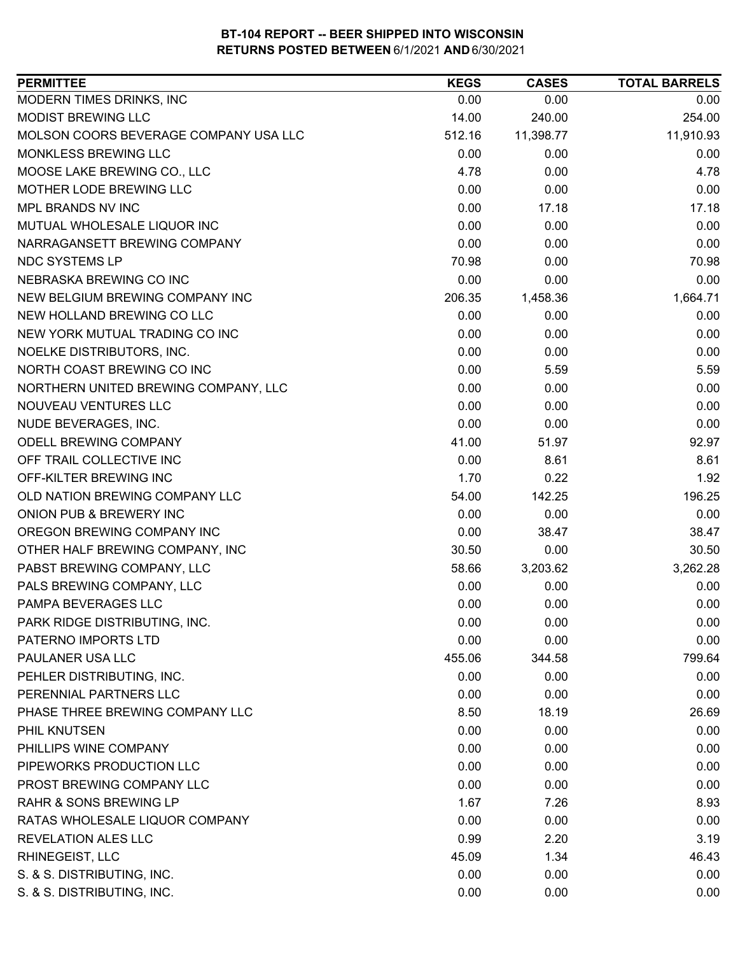| 0.00<br>0.00<br>0.00<br>14.00<br>240.00<br>254.00<br>11,910.93<br>512.16<br>11,398.77<br>0.00<br>0.00<br>0.00<br>4.78<br>0.00<br>4.78<br>0.00<br>0.00<br>0.00<br>0.00<br>17.18<br>17.18<br>0.00<br>0.00<br>0.00<br>0.00<br>0.00<br>0.00<br>70.98<br>0.00<br>70.98<br>0.00<br>0.00<br>0.00<br>206.35<br>1,458.36<br>1,664.71<br>0.00<br>0.00<br>0.00<br>0.00<br>0.00<br>0.00<br>0.00<br>0.00<br>0.00<br>0.00<br>5.59<br>5.59<br>0.00<br>0.00<br>0.00<br>0.00<br>0.00<br>0.00<br>0.00<br>0.00<br>0.00<br>41.00<br>51.97<br>92.97<br>0.00<br>8.61<br>8.61<br>1.70<br>0.22<br>1.92<br>54.00<br>142.25<br>196.25<br>0.00<br>0.00<br>0.00<br>0.00<br>38.47<br>38.47<br>0.00<br>30.50<br>30.50<br>3,262.28<br>58.66<br>3,203.62<br>0.00<br>0.00<br>0.00<br>0.00<br>0.00<br>0.00<br>0.00<br>0.00<br>0.00<br>0.00<br>0.00<br>0.00<br>455.06<br>799.64<br>344.58<br>0.00<br>0.00<br>0.00<br>0.00<br>0.00<br>0.00<br>8.50<br>18.19<br>26.69<br>0.00<br>0.00<br>0.00 | <b>PERMITTEE</b>                      | <b>KEGS</b> | <b>CASES</b> | <b>TOTAL BARRELS</b> |
|----------------------------------------------------------------------------------------------------------------------------------------------------------------------------------------------------------------------------------------------------------------------------------------------------------------------------------------------------------------------------------------------------------------------------------------------------------------------------------------------------------------------------------------------------------------------------------------------------------------------------------------------------------------------------------------------------------------------------------------------------------------------------------------------------------------------------------------------------------------------------------------------------------------------------------------------------------|---------------------------------------|-------------|--------------|----------------------|
|                                                                                                                                                                                                                                                                                                                                                                                                                                                                                                                                                                                                                                                                                                                                                                                                                                                                                                                                                          | MODERN TIMES DRINKS, INC              |             |              |                      |
|                                                                                                                                                                                                                                                                                                                                                                                                                                                                                                                                                                                                                                                                                                                                                                                                                                                                                                                                                          | MODIST BREWING LLC                    |             |              |                      |
|                                                                                                                                                                                                                                                                                                                                                                                                                                                                                                                                                                                                                                                                                                                                                                                                                                                                                                                                                          | MOLSON COORS BEVERAGE COMPANY USA LLC |             |              |                      |
|                                                                                                                                                                                                                                                                                                                                                                                                                                                                                                                                                                                                                                                                                                                                                                                                                                                                                                                                                          | MONKLESS BREWING LLC                  |             |              |                      |
|                                                                                                                                                                                                                                                                                                                                                                                                                                                                                                                                                                                                                                                                                                                                                                                                                                                                                                                                                          | MOOSE LAKE BREWING CO., LLC           |             |              |                      |
|                                                                                                                                                                                                                                                                                                                                                                                                                                                                                                                                                                                                                                                                                                                                                                                                                                                                                                                                                          | MOTHER LODE BREWING LLC               |             |              |                      |
|                                                                                                                                                                                                                                                                                                                                                                                                                                                                                                                                                                                                                                                                                                                                                                                                                                                                                                                                                          | MPL BRANDS NV INC                     |             |              |                      |
|                                                                                                                                                                                                                                                                                                                                                                                                                                                                                                                                                                                                                                                                                                                                                                                                                                                                                                                                                          | MUTUAL WHOLESALE LIQUOR INC           |             |              |                      |
|                                                                                                                                                                                                                                                                                                                                                                                                                                                                                                                                                                                                                                                                                                                                                                                                                                                                                                                                                          | NARRAGANSETT BREWING COMPANY          |             |              |                      |
|                                                                                                                                                                                                                                                                                                                                                                                                                                                                                                                                                                                                                                                                                                                                                                                                                                                                                                                                                          | <b>NDC SYSTEMS LP</b>                 |             |              |                      |
|                                                                                                                                                                                                                                                                                                                                                                                                                                                                                                                                                                                                                                                                                                                                                                                                                                                                                                                                                          | NEBRASKA BREWING CO INC               |             |              |                      |
|                                                                                                                                                                                                                                                                                                                                                                                                                                                                                                                                                                                                                                                                                                                                                                                                                                                                                                                                                          | NEW BELGIUM BREWING COMPANY INC       |             |              |                      |
|                                                                                                                                                                                                                                                                                                                                                                                                                                                                                                                                                                                                                                                                                                                                                                                                                                                                                                                                                          | NEW HOLLAND BREWING CO LLC            |             |              |                      |
|                                                                                                                                                                                                                                                                                                                                                                                                                                                                                                                                                                                                                                                                                                                                                                                                                                                                                                                                                          | NEW YORK MUTUAL TRADING CO INC        |             |              |                      |
|                                                                                                                                                                                                                                                                                                                                                                                                                                                                                                                                                                                                                                                                                                                                                                                                                                                                                                                                                          | NOELKE DISTRIBUTORS, INC.             |             |              |                      |
|                                                                                                                                                                                                                                                                                                                                                                                                                                                                                                                                                                                                                                                                                                                                                                                                                                                                                                                                                          | NORTH COAST BREWING CO INC            |             |              |                      |
|                                                                                                                                                                                                                                                                                                                                                                                                                                                                                                                                                                                                                                                                                                                                                                                                                                                                                                                                                          | NORTHERN UNITED BREWING COMPANY, LLC  |             |              |                      |
|                                                                                                                                                                                                                                                                                                                                                                                                                                                                                                                                                                                                                                                                                                                                                                                                                                                                                                                                                          | NOUVEAU VENTURES LLC                  |             |              |                      |
|                                                                                                                                                                                                                                                                                                                                                                                                                                                                                                                                                                                                                                                                                                                                                                                                                                                                                                                                                          | NUDE BEVERAGES, INC.                  |             |              |                      |
|                                                                                                                                                                                                                                                                                                                                                                                                                                                                                                                                                                                                                                                                                                                                                                                                                                                                                                                                                          | <b>ODELL BREWING COMPANY</b>          |             |              |                      |
|                                                                                                                                                                                                                                                                                                                                                                                                                                                                                                                                                                                                                                                                                                                                                                                                                                                                                                                                                          | OFF TRAIL COLLECTIVE INC              |             |              |                      |
|                                                                                                                                                                                                                                                                                                                                                                                                                                                                                                                                                                                                                                                                                                                                                                                                                                                                                                                                                          | OFF-KILTER BREWING INC                |             |              |                      |
|                                                                                                                                                                                                                                                                                                                                                                                                                                                                                                                                                                                                                                                                                                                                                                                                                                                                                                                                                          | OLD NATION BREWING COMPANY LLC        |             |              |                      |
|                                                                                                                                                                                                                                                                                                                                                                                                                                                                                                                                                                                                                                                                                                                                                                                                                                                                                                                                                          | ONION PUB & BREWERY INC               |             |              |                      |
|                                                                                                                                                                                                                                                                                                                                                                                                                                                                                                                                                                                                                                                                                                                                                                                                                                                                                                                                                          | OREGON BREWING COMPANY INC            |             |              |                      |
|                                                                                                                                                                                                                                                                                                                                                                                                                                                                                                                                                                                                                                                                                                                                                                                                                                                                                                                                                          | OTHER HALF BREWING COMPANY, INC       |             |              |                      |
|                                                                                                                                                                                                                                                                                                                                                                                                                                                                                                                                                                                                                                                                                                                                                                                                                                                                                                                                                          | PABST BREWING COMPANY, LLC            |             |              |                      |
|                                                                                                                                                                                                                                                                                                                                                                                                                                                                                                                                                                                                                                                                                                                                                                                                                                                                                                                                                          | PALS BREWING COMPANY, LLC             |             |              |                      |
|                                                                                                                                                                                                                                                                                                                                                                                                                                                                                                                                                                                                                                                                                                                                                                                                                                                                                                                                                          | PAMPA BEVERAGES LLC                   |             |              |                      |
|                                                                                                                                                                                                                                                                                                                                                                                                                                                                                                                                                                                                                                                                                                                                                                                                                                                                                                                                                          | PARK RIDGE DISTRIBUTING, INC.         |             |              |                      |
|                                                                                                                                                                                                                                                                                                                                                                                                                                                                                                                                                                                                                                                                                                                                                                                                                                                                                                                                                          | PATERNO IMPORTS LTD                   |             |              |                      |
|                                                                                                                                                                                                                                                                                                                                                                                                                                                                                                                                                                                                                                                                                                                                                                                                                                                                                                                                                          | PAULANER USA LLC                      |             |              |                      |
|                                                                                                                                                                                                                                                                                                                                                                                                                                                                                                                                                                                                                                                                                                                                                                                                                                                                                                                                                          | PEHLER DISTRIBUTING, INC.             |             |              |                      |
|                                                                                                                                                                                                                                                                                                                                                                                                                                                                                                                                                                                                                                                                                                                                                                                                                                                                                                                                                          | PERENNIAL PARTNERS LLC                |             |              |                      |
|                                                                                                                                                                                                                                                                                                                                                                                                                                                                                                                                                                                                                                                                                                                                                                                                                                                                                                                                                          | PHASE THREE BREWING COMPANY LLC       |             |              |                      |
|                                                                                                                                                                                                                                                                                                                                                                                                                                                                                                                                                                                                                                                                                                                                                                                                                                                                                                                                                          | PHIL KNUTSEN                          |             |              |                      |
|                                                                                                                                                                                                                                                                                                                                                                                                                                                                                                                                                                                                                                                                                                                                                                                                                                                                                                                                                          | PHILLIPS WINE COMPANY                 | 0.00        | 0.00         | 0.00                 |
| 0.00<br>0.00<br>0.00                                                                                                                                                                                                                                                                                                                                                                                                                                                                                                                                                                                                                                                                                                                                                                                                                                                                                                                                     | PIPEWORKS PRODUCTION LLC              |             |              |                      |
| 0.00<br>0.00<br>0.00                                                                                                                                                                                                                                                                                                                                                                                                                                                                                                                                                                                                                                                                                                                                                                                                                                                                                                                                     | PROST BREWING COMPANY LLC             |             |              |                      |
| 1.67<br>7.26<br>8.93                                                                                                                                                                                                                                                                                                                                                                                                                                                                                                                                                                                                                                                                                                                                                                                                                                                                                                                                     | <b>RAHR &amp; SONS BREWING LP</b>     |             |              |                      |
| 0.00<br>0.00<br>0.00                                                                                                                                                                                                                                                                                                                                                                                                                                                                                                                                                                                                                                                                                                                                                                                                                                                                                                                                     | RATAS WHOLESALE LIQUOR COMPANY        |             |              |                      |
| 0.99<br>2.20<br>3.19                                                                                                                                                                                                                                                                                                                                                                                                                                                                                                                                                                                                                                                                                                                                                                                                                                                                                                                                     | <b>REVELATION ALES LLC</b>            |             |              |                      |
| 45.09<br>1.34<br>46.43                                                                                                                                                                                                                                                                                                                                                                                                                                                                                                                                                                                                                                                                                                                                                                                                                                                                                                                                   | RHINEGEIST, LLC                       |             |              |                      |
| 0.00<br>0.00<br>0.00                                                                                                                                                                                                                                                                                                                                                                                                                                                                                                                                                                                                                                                                                                                                                                                                                                                                                                                                     | S. & S. DISTRIBUTING, INC.            |             |              |                      |
| 0.00<br>0.00<br>0.00                                                                                                                                                                                                                                                                                                                                                                                                                                                                                                                                                                                                                                                                                                                                                                                                                                                                                                                                     | S. & S. DISTRIBUTING, INC.            |             |              |                      |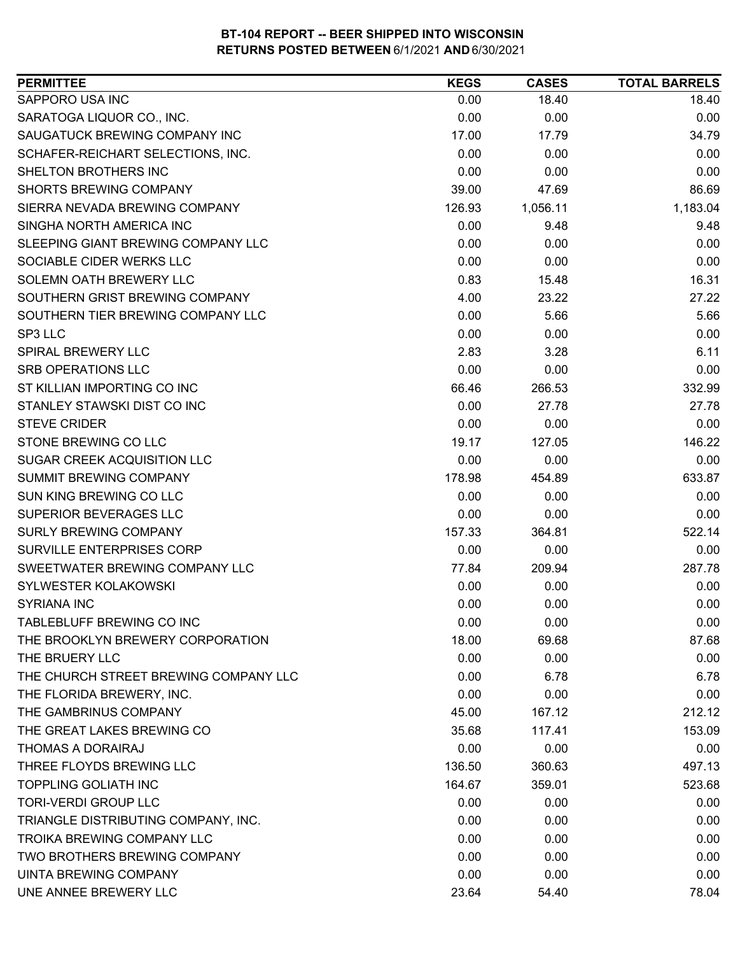| <b>PERMITTEE</b>                      | <b>KEGS</b> | <b>CASES</b> | <b>TOTAL BARRELS</b> |
|---------------------------------------|-------------|--------------|----------------------|
| SAPPORO USA INC                       | 0.00        | 18.40        | 18.40                |
| SARATOGA LIQUOR CO., INC.             | 0.00        | 0.00         | 0.00                 |
| SAUGATUCK BREWING COMPANY INC         | 17.00       | 17.79        | 34.79                |
| SCHAFER-REICHART SELECTIONS, INC.     | 0.00        | 0.00         | 0.00                 |
| SHELTON BROTHERS INC                  | 0.00        | 0.00         | 0.00                 |
| <b>SHORTS BREWING COMPANY</b>         | 39.00       | 47.69        | 86.69                |
| SIERRA NEVADA BREWING COMPANY         | 126.93      | 1,056.11     | 1,183.04             |
| SINGHA NORTH AMERICA INC              | 0.00        | 9.48         | 9.48                 |
| SLEEPING GIANT BREWING COMPANY LLC    | 0.00        | 0.00         | 0.00                 |
| SOCIABLE CIDER WERKS LLC              | 0.00        | 0.00         | 0.00                 |
| SOLEMN OATH BREWERY LLC               | 0.83        | 15.48        | 16.31                |
| SOUTHERN GRIST BREWING COMPANY        | 4.00        | 23.22        | 27.22                |
| SOUTHERN TIER BREWING COMPANY LLC     | 0.00        | 5.66         | 5.66                 |
| SP3 LLC                               | 0.00        | 0.00         | 0.00                 |
| <b>SPIRAL BREWERY LLC</b>             | 2.83        | 3.28         | 6.11                 |
| <b>SRB OPERATIONS LLC</b>             | 0.00        | 0.00         | 0.00                 |
| ST KILLIAN IMPORTING CO INC           | 66.46       | 266.53       | 332.99               |
| STANLEY STAWSKI DIST CO INC           | 0.00        | 27.78        | 27.78                |
| <b>STEVE CRIDER</b>                   | 0.00        | 0.00         | 0.00                 |
| STONE BREWING CO LLC                  | 19.17       | 127.05       | 146.22               |
| SUGAR CREEK ACQUISITION LLC           | 0.00        | 0.00         | 0.00                 |
| SUMMIT BREWING COMPANY                | 178.98      | 454.89       | 633.87               |
| SUN KING BREWING CO LLC               | 0.00        | 0.00         | 0.00                 |
| SUPERIOR BEVERAGES LLC                | 0.00        | 0.00         | 0.00                 |
| SURLY BREWING COMPANY                 | 157.33      | 364.81       | 522.14               |
| SURVILLE ENTERPRISES CORP             | 0.00        | 0.00         | 0.00                 |
| SWEETWATER BREWING COMPANY LLC        | 77.84       | 209.94       | 287.78               |
| SYLWESTER KOLAKOWSKI                  | 0.00        | 0.00         | 0.00                 |
| <b>SYRIANA INC</b>                    | 0.00        | 0.00         | 0.00                 |
| TABLEBLUFF BREWING CO INC             | 0.00        | 0.00         | 0.00                 |
| THE BROOKLYN BREWERY CORPORATION      | 18.00       | 69.68        | 87.68                |
| THE BRUERY LLC                        | 0.00        | 0.00         | 0.00                 |
| THE CHURCH STREET BREWING COMPANY LLC | 0.00        | 6.78         | 6.78                 |
| THE FLORIDA BREWERY, INC.             | 0.00        | 0.00         | 0.00                 |
| THE GAMBRINUS COMPANY                 | 45.00       | 167.12       | 212.12               |
| THE GREAT LAKES BREWING CO            | 35.68       | 117.41       | 153.09               |
| <b>THOMAS A DORAIRAJ</b>              | 0.00        | 0.00         | 0.00                 |
| THREE FLOYDS BREWING LLC              | 136.50      | 360.63       | 497.13               |
| <b>TOPPLING GOLIATH INC</b>           | 164.67      | 359.01       | 523.68               |
| <b>TORI-VERDI GROUP LLC</b>           | 0.00        | 0.00         | 0.00                 |
| TRIANGLE DISTRIBUTING COMPANY, INC.   | 0.00        | 0.00         | 0.00                 |
| <b>TROIKA BREWING COMPANY LLC</b>     | 0.00        | 0.00         | 0.00                 |
| TWO BROTHERS BREWING COMPANY          | 0.00        | 0.00         | 0.00                 |
| UINTA BREWING COMPANY                 | 0.00        | 0.00         | 0.00                 |
| UNE ANNEE BREWERY LLC                 | 23.64       | 54.40        | 78.04                |